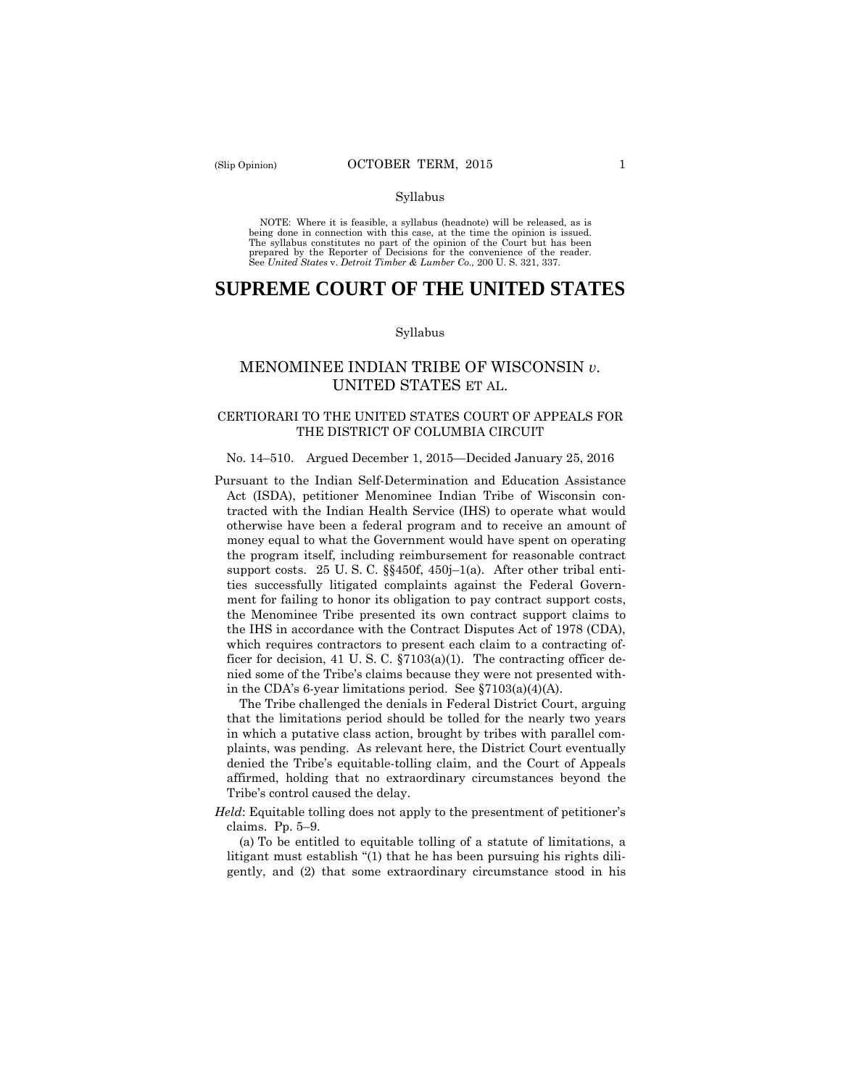#### Syllabus

 NOTE: Where it is feasible, a syllabus (headnote) will be released, as is being done in connection with this case, at the time the opinion is issued. The syllabus constitutes no part of the opinion of the Court but has been<br>prepared by the Reporter of Decisions for the convenience of the reader.<br>See United States v. Detroit Timber & Lumber Co., 200 U.S. 321, 337.

# **SUPREME COURT OF THE UNITED STATES**

#### Syllabus

## MENOMINEE INDIAN TRIBE OF WISCONSIN *v*. UNITED STATES ET AL.

## CERTIORARI TO THE UNITED STATES COURT OF APPEALS FOR THE DISTRICT OF COLUMBIA CIRCUIT

#### No. 14–510. Argued December 1, 2015—Decided January 25, 2016

Pursuant to the Indian Self-Determination and Education Assistance Act (ISDA), petitioner Menominee Indian Tribe of Wisconsin contracted with the Indian Health Service (IHS) to operate what would otherwise have been a federal program and to receive an amount of money equal to what the Government would have spent on operating the program itself, including reimbursement for reasonable contract support costs. 25 U. S. C. §§450f, 450j–1(a). After other tribal entities successfully litigated complaints against the Federal Government for failing to honor its obligation to pay contract support costs, the Menominee Tribe presented its own contract support claims to the IHS in accordance with the Contract Disputes Act of 1978 (CDA), which requires contractors to present each claim to a contracting officer for decision, 41 U. S. C. §7103(a)(1). The contracting officer denied some of the Tribe's claims because they were not presented within the CDA's 6-year limitations period. See §7103(a)(4)(A).

The Tribe challenged the denials in Federal District Court, arguing that the limitations period should be tolled for the nearly two years in which a putative class action, brought by tribes with parallel complaints, was pending. As relevant here, the District Court eventually denied the Tribe's equitable-tolling claim, and the Court of Appeals affirmed, holding that no extraordinary circumstances beyond the Tribe's control caused the delay.

*Held*: Equitable tolling does not apply to the presentment of petitioner's claims. Pp. 5–9.

(a) To be entitled to equitable tolling of a statute of limitations, a litigant must establish "(1) that he has been pursuing his rights diligently, and (2) that some extraordinary circumstance stood in his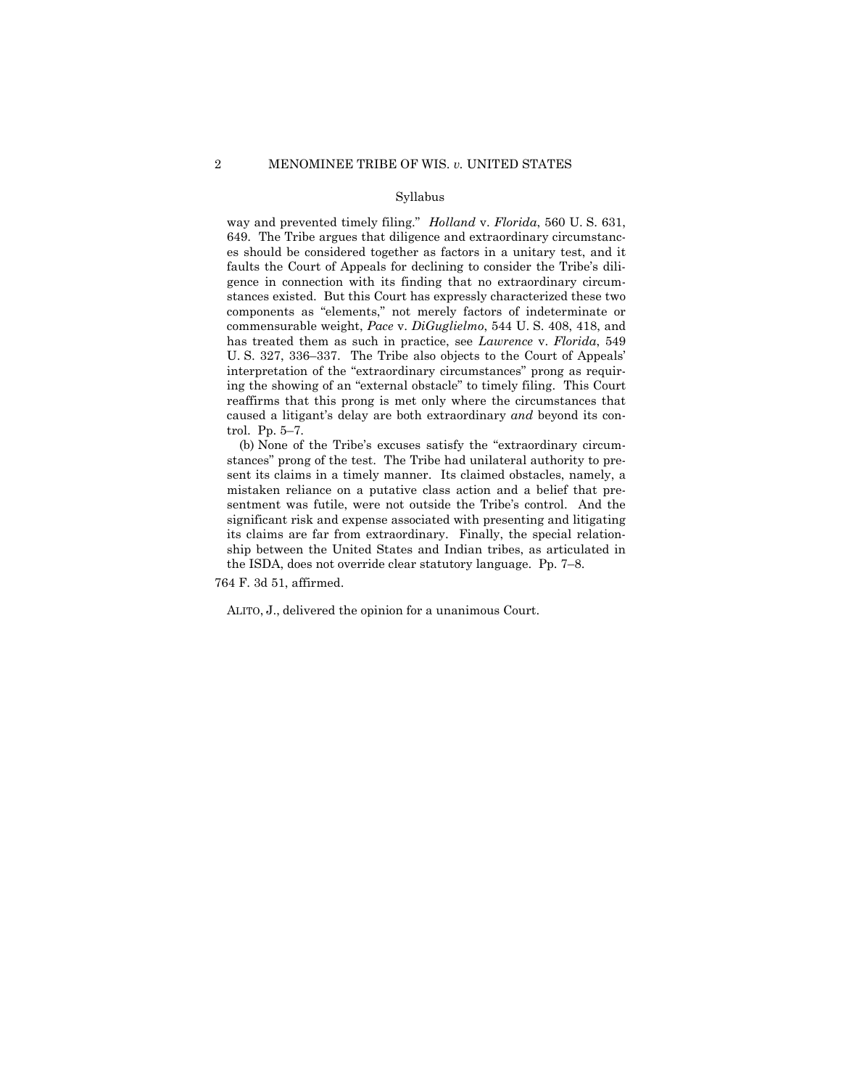#### Syllabus

way and prevented timely filing." *Holland* v. *Florida*, 560 U. S. 631, 649. The Tribe argues that diligence and extraordinary circumstances should be considered together as factors in a unitary test, and it faults the Court of Appeals for declining to consider the Tribe's diligence in connection with its finding that no extraordinary circumstances existed. But this Court has expressly characterized these two components as "elements," not merely factors of indeterminate or commensurable weight, *Pace* v. *DiGuglielmo*, 544 U. S. 408, 418, and has treated them as such in practice, see *Lawrence* v. *Florida*, 549 U. S. 327, 336–337. The Tribe also objects to the Court of Appeals' interpretation of the "extraordinary circumstances" prong as requiring the showing of an "external obstacle" to timely filing. This Court reaffirms that this prong is met only where the circumstances that caused a litigant's delay are both extraordinary *and* beyond its control. Pp. 5–7.

(b) None of the Tribe's excuses satisfy the "extraordinary circumstances" prong of the test. The Tribe had unilateral authority to present its claims in a timely manner. Its claimed obstacles, namely, a mistaken reliance on a putative class action and a belief that presentment was futile, were not outside the Tribe's control. And the significant risk and expense associated with presenting and litigating its claims are far from extraordinary. Finally, the special relationship between the United States and Indian tribes, as articulated in the ISDA, does not override clear statutory language. Pp. 7–8.

764 F. 3d 51, affirmed.

ALITO, J., delivered the opinion for a unanimous Court.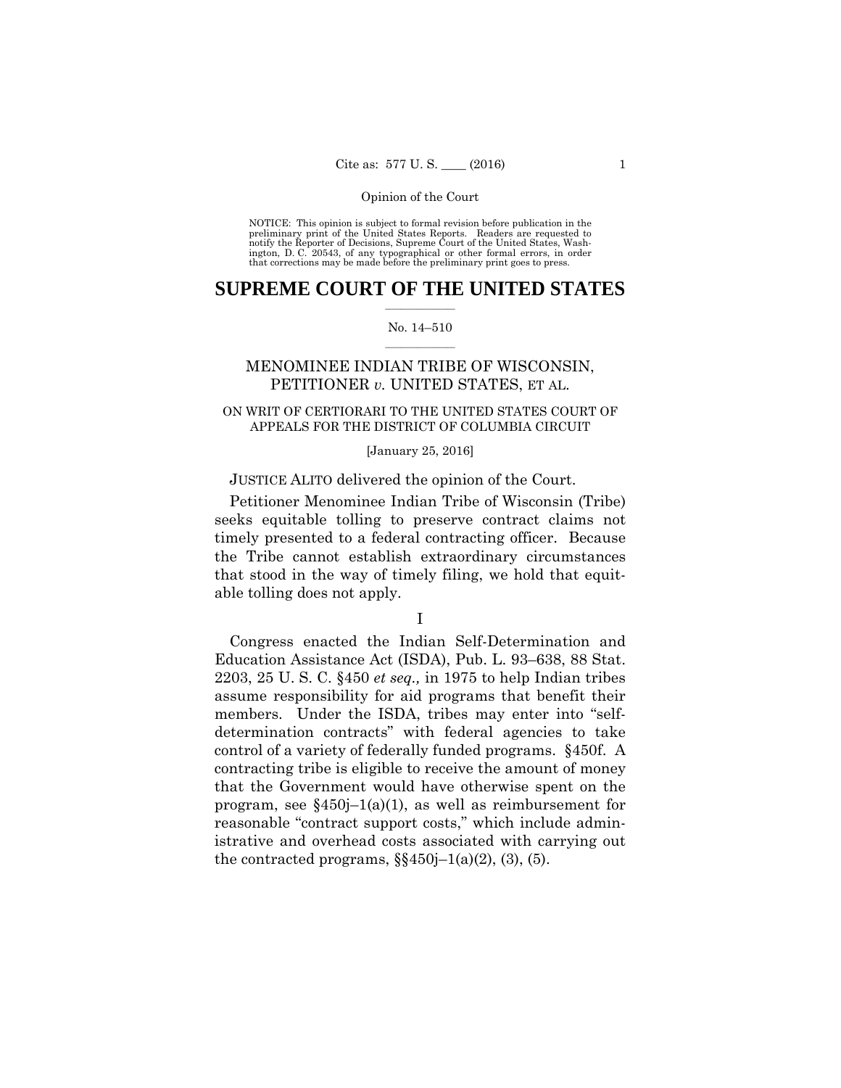preliminary print of the United States Reports. Readers are requested to notify the Reporter of Decisions, Supreme Court of the United States, Wash- ington, D. C. 20543, of any typographical or other formal errors, in order that corrections may be made before the preliminary print goes to press. NOTICE: This opinion is subject to formal revision before publication in the

## $\frac{1}{2}$  ,  $\frac{1}{2}$  ,  $\frac{1}{2}$  ,  $\frac{1}{2}$  ,  $\frac{1}{2}$  ,  $\frac{1}{2}$  ,  $\frac{1}{2}$ **SUPREME COURT OF THE UNITED STATES**

#### $\frac{1}{2}$  ,  $\frac{1}{2}$  ,  $\frac{1}{2}$  ,  $\frac{1}{2}$  ,  $\frac{1}{2}$  ,  $\frac{1}{2}$ No. 14–510

## MENOMINEE INDIAN TRIBE OF WISCONSIN, PETITIONER *v.* UNITED STATES, ET AL.

## ON WRIT OF CERTIORARI TO THE UNITED STATES COURT OF APPEALS FOR THE DISTRICT OF COLUMBIA CIRCUIT

#### [January 25, 2016]

### JUSTICE ALITO delivered the opinion of the Court.

Petitioner Menominee Indian Tribe of Wisconsin (Tribe) seeks equitable tolling to preserve contract claims not timely presented to a federal contracting officer. Because the Tribe cannot establish extraordinary circumstances that stood in the way of timely filing, we hold that equitable tolling does not apply.

I

Congress enacted the Indian Self-Determination and Education Assistance Act (ISDA), Pub. L. 93–638, 88 Stat. 2203, 25 U. S. C. §450 *et seq.,* in 1975 to help Indian tribes assume responsibility for aid programs that benefit their members. Under the ISDA, tribes may enter into "selfdetermination contracts" with federal agencies to take control of a variety of federally funded programs. §450f. A contracting tribe is eligible to receive the amount of money that the Government would have otherwise spent on the program, see  $\S 450j-1(a)(1)$ , as well as reimbursement for reasonable "contract support costs," which include administrative and overhead costs associated with carrying out the contracted programs,  $\S$ §450j–1(a)(2), (3), (5).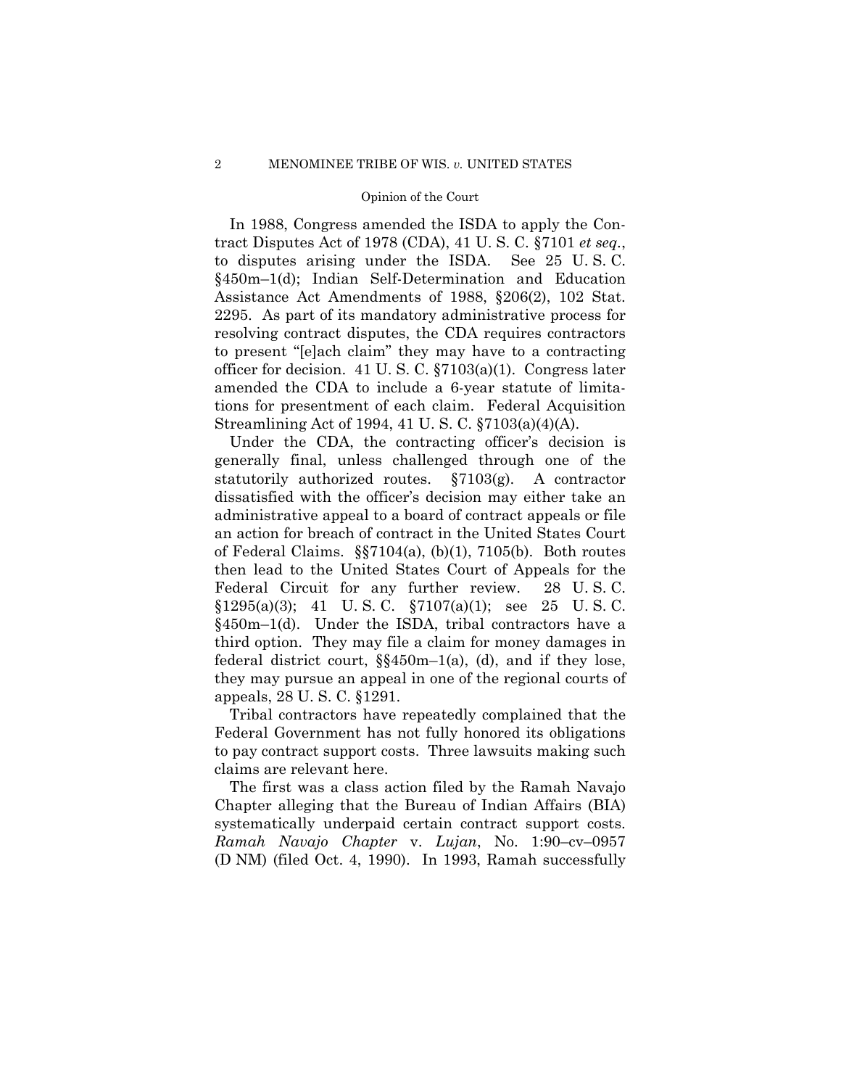In 1988, Congress amended the ISDA to apply the Contract Disputes Act of 1978 (CDA), 41 U. S. C. §7101 *et seq.*, to disputes arising under the ISDA. See 25 U. S. C. §450m–1(d); Indian Self-Determination and Education Assistance Act Amendments of 1988, §206(2), 102 Stat. 2295. As part of its mandatory administrative process for resolving contract disputes, the CDA requires contractors to present "[e]ach claim" they may have to a contracting officer for decision. 41 U. S. C. §7103(a)(1). Congress later amended the CDA to include a 6-year statute of limitations for presentment of each claim. Federal Acquisition Streamlining Act of 1994, 41 U. S. C. §7103(a)(4)(A).

Under the CDA, the contracting officer's decision is generally final, unless challenged through one of the statutorily authorized routes. §7103(g). A contractor dissatisfied with the officer's decision may either take an administrative appeal to a board of contract appeals or file an action for breach of contract in the United States Court of Federal Claims. §§7104(a), (b)(1), 7105(b). Both routes then lead to the United States Court of Appeals for the Federal Circuit for any further review. 28 U. S. C.  $$1295(a)(3);$  41 U.S.C.  $$7107(a)(1);$  see 25 U.S.C. §450m–1(d). Under the ISDA, tribal contractors have a third option. They may file a claim for money damages in federal district court, §§450m–1(a), (d), and if they lose, they may pursue an appeal in one of the regional courts of appeals, 28 U. S. C. §1291.

Tribal contractors have repeatedly complained that the Federal Government has not fully honored its obligations to pay contract support costs. Three lawsuits making such claims are relevant here.

The first was a class action filed by the Ramah Navajo Chapter alleging that the Bureau of Indian Affairs (BIA) systematically underpaid certain contract support costs. *Ramah Navajo Chapter* v. *Lujan*, No. 1:90–cv–0957 (D NM) (filed Oct. 4, 1990). In 1993, Ramah successfully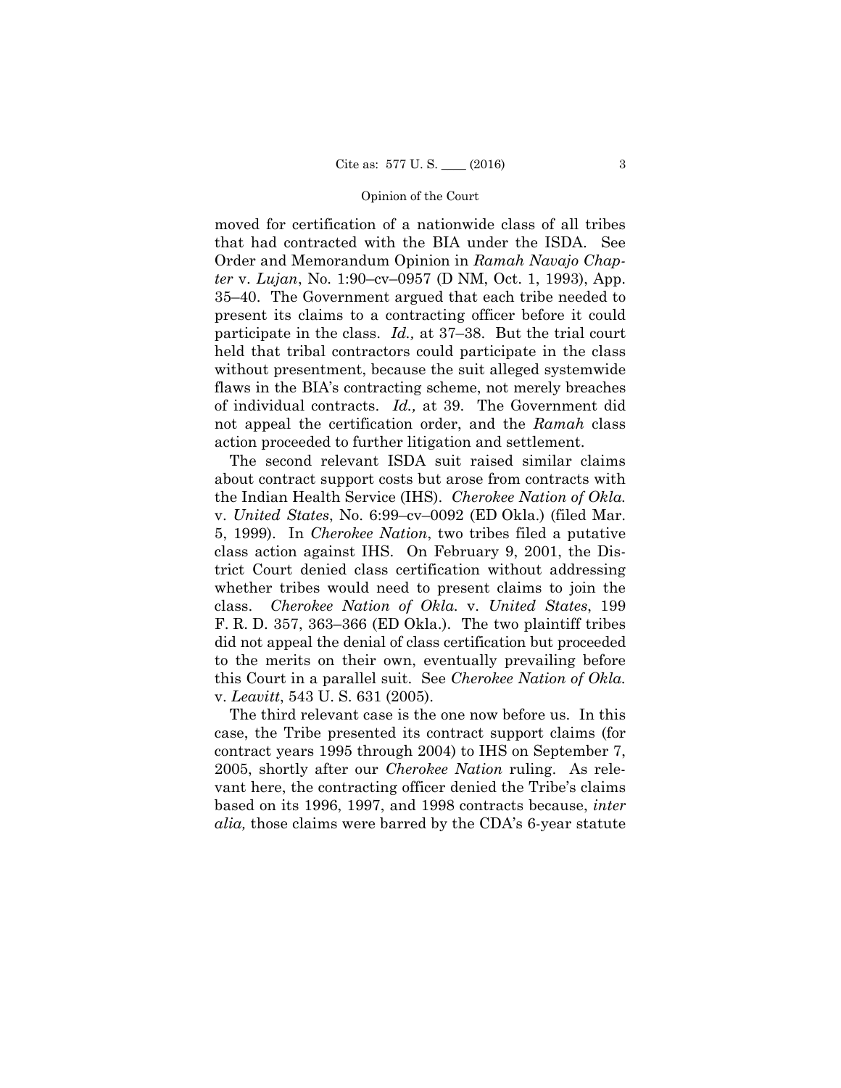moved for certification of a nationwide class of all tribes that had contracted with the BIA under the ISDA. See Order and Memorandum Opinion in *Ramah Navajo Chapter* v. *Lujan*, No. 1:90–cv–0957 (D NM, Oct. 1, 1993), App. 35–40. The Government argued that each tribe needed to present its claims to a contracting officer before it could participate in the class. *Id.,* at 37–38. But the trial court held that tribal contractors could participate in the class without presentment, because the suit alleged systemwide flaws in the BIA's contracting scheme, not merely breaches of individual contracts. *Id.,* at 39. The Government did not appeal the certification order, and the *Ramah* class action proceeded to further litigation and settlement.

 the Indian Health Service (IHS). *Cherokee Nation of Okla.*  The second relevant ISDA suit raised similar claims about contract support costs but arose from contracts with v. *United States*, No. 6:99–cv–0092 (ED Okla.) (filed Mar. 5, 1999). In *Cherokee Nation*, two tribes filed a putative class action against IHS. On February 9, 2001, the District Court denied class certification without addressing whether tribes would need to present claims to join the class. *Cherokee Nation of Okla.* v. *United States*, 199 F. R. D. 357, 363–366 (ED Okla.). The two plaintiff tribes did not appeal the denial of class certification but proceeded to the merits on their own, eventually prevailing before this Court in a parallel suit. See *Cherokee Nation of Okla.*  v. *Leavitt*, 543 U. S. 631 (2005).

The third relevant case is the one now before us. In this case, the Tribe presented its contract support claims (for contract years 1995 through 2004) to IHS on September 7, 2005, shortly after our *Cherokee Nation* ruling. As relevant here, the contracting officer denied the Tribe's claims based on its 1996, 1997, and 1998 contracts because, *inter alia,* those claims were barred by the CDA's 6-year statute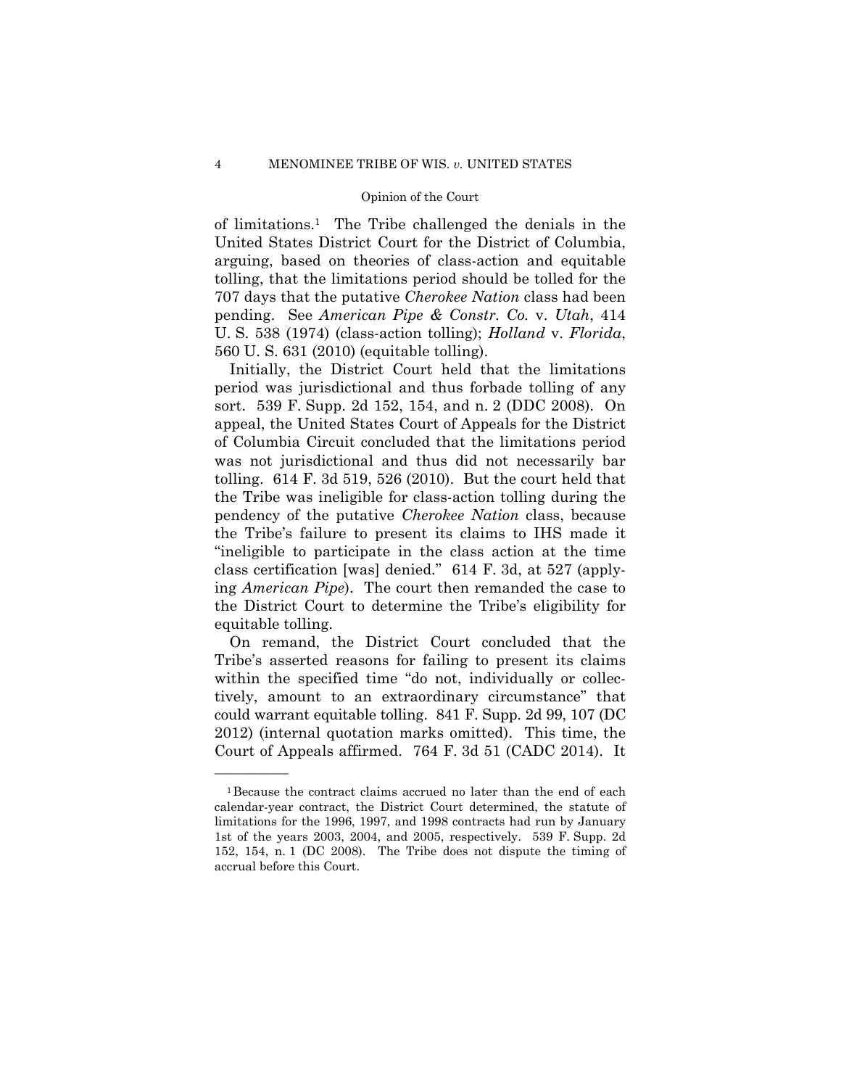of limitations.1 The Tribe challenged the denials in the United States District Court for the District of Columbia, arguing, based on theories of class-action and equitable tolling, that the limitations period should be tolled for the 707 days that the putative *Cherokee Nation* class had been pending. See *American Pipe & Constr. Co.* v. *Utah*, 414 U. S. 538 (1974) (class-action tolling); *Holland* v. *Florida*, 560 U. S. 631 (2010) (equitable tolling).

Initially, the District Court held that the limitations period was jurisdictional and thus forbade tolling of any sort. 539 F. Supp. 2d 152, 154, and n. 2 (DDC 2008). On appeal, the United States Court of Appeals for the District of Columbia Circuit concluded that the limitations period was not jurisdictional and thus did not necessarily bar tolling. 614 F. 3d 519, 526 (2010). But the court held that the Tribe was ineligible for class-action tolling during the pendency of the putative *Cherokee Nation* class, because the Tribe's failure to present its claims to IHS made it "ineligible to participate in the class action at the time class certification [was] denied." 614 F. 3d, at 527 (applying *American Pipe*). The court then remanded the case to the District Court to determine the Tribe's eligibility for equitable tolling.

On remand, the District Court concluded that the Tribe's asserted reasons for failing to present its claims within the specified time "do not, individually or collectively, amount to an extraordinary circumstance" that could warrant equitable tolling. 841 F. Supp. 2d 99, 107 (DC 2012) (internal quotation marks omitted). This time, the Court of Appeals affirmed. 764 F. 3d 51 (CADC 2014). It

<sup>1</sup>Because the contract claims accrued no later than the end of each calendar-year contract, the District Court determined, the statute of limitations for the 1996, 1997, and 1998 contracts had run by January 1st of the years 2003, 2004, and 2005, respectively. 539 F. Supp. 2d 152, 154, n. 1 (DC 2008). The Tribe does not dispute the timing of accrual before this Court.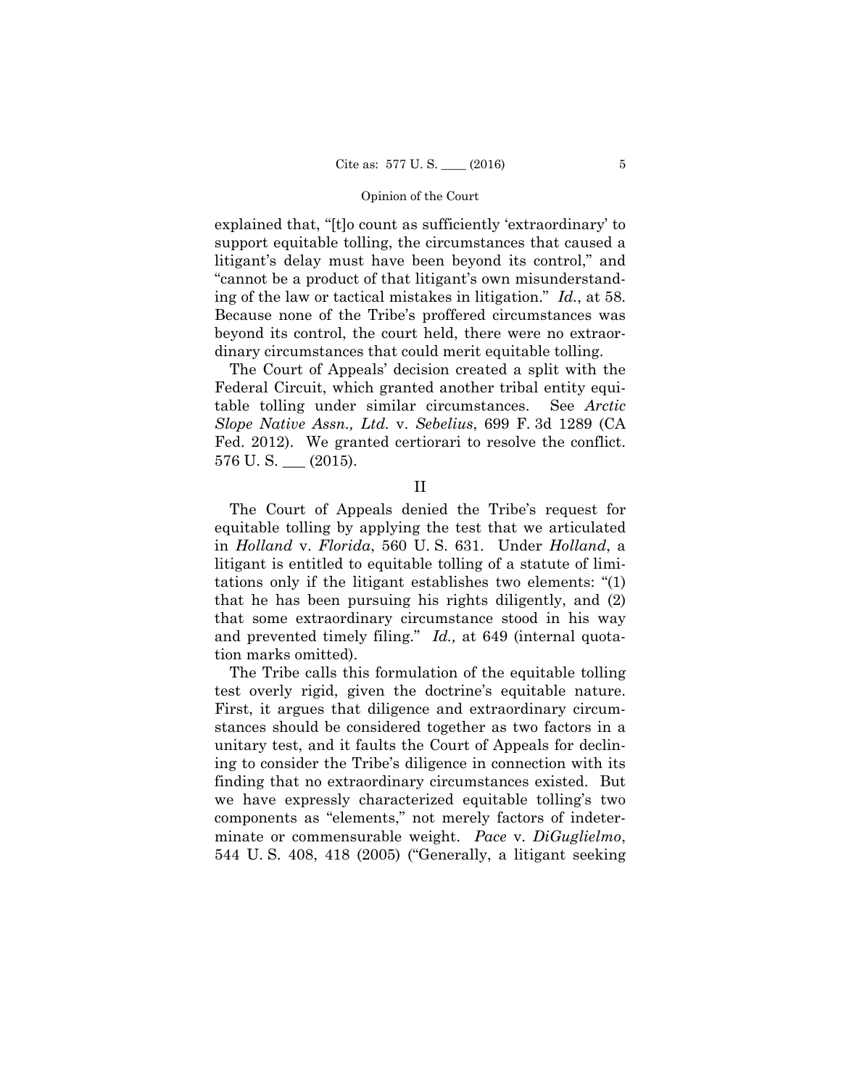explained that, "[t]o count as sufficiently 'extraordinary' to support equitable tolling, the circumstances that caused a litigant's delay must have been beyond its control," and "cannot be a product of that litigant's own misunderstanding of the law or tactical mistakes in litigation." *Id.*, at 58. Because none of the Tribe's proffered circumstances was beyond its control, the court held, there were no extraordinary circumstances that could merit equitable tolling.

The Court of Appeals' decision created a split with the Federal Circuit, which granted another tribal entity equitable tolling under similar circumstances. See *Arctic Slope Native Assn., Ltd.* v. *Sebelius*, 699 F. 3d 1289 (CA Fed. 2012). We granted certiorari to resolve the conflict.  $576$  U.S.  $\_\_$  (2015).

II

The Court of Appeals denied the Tribe's request for equitable tolling by applying the test that we articulated in *Holland* v. *Florida*, 560 U. S. 631. Under *Holland*, a litigant is entitled to equitable tolling of a statute of limitations only if the litigant establishes two elements: "(1) that he has been pursuing his rights diligently, and (2) that some extraordinary circumstance stood in his way and prevented timely filing." *Id.,* at 649 (internal quotation marks omitted).

The Tribe calls this formulation of the equitable tolling test overly rigid, given the doctrine's equitable nature. First, it argues that diligence and extraordinary circumstances should be considered together as two factors in a unitary test, and it faults the Court of Appeals for declining to consider the Tribe's diligence in connection with its finding that no extraordinary circumstances existed. But we have expressly characterized equitable tolling's two components as "elements," not merely factors of indeterminate or commensurable weight. *Pace* v. *DiGuglielmo*, 544 U. S. 408, 418 (2005) ("Generally, a litigant seeking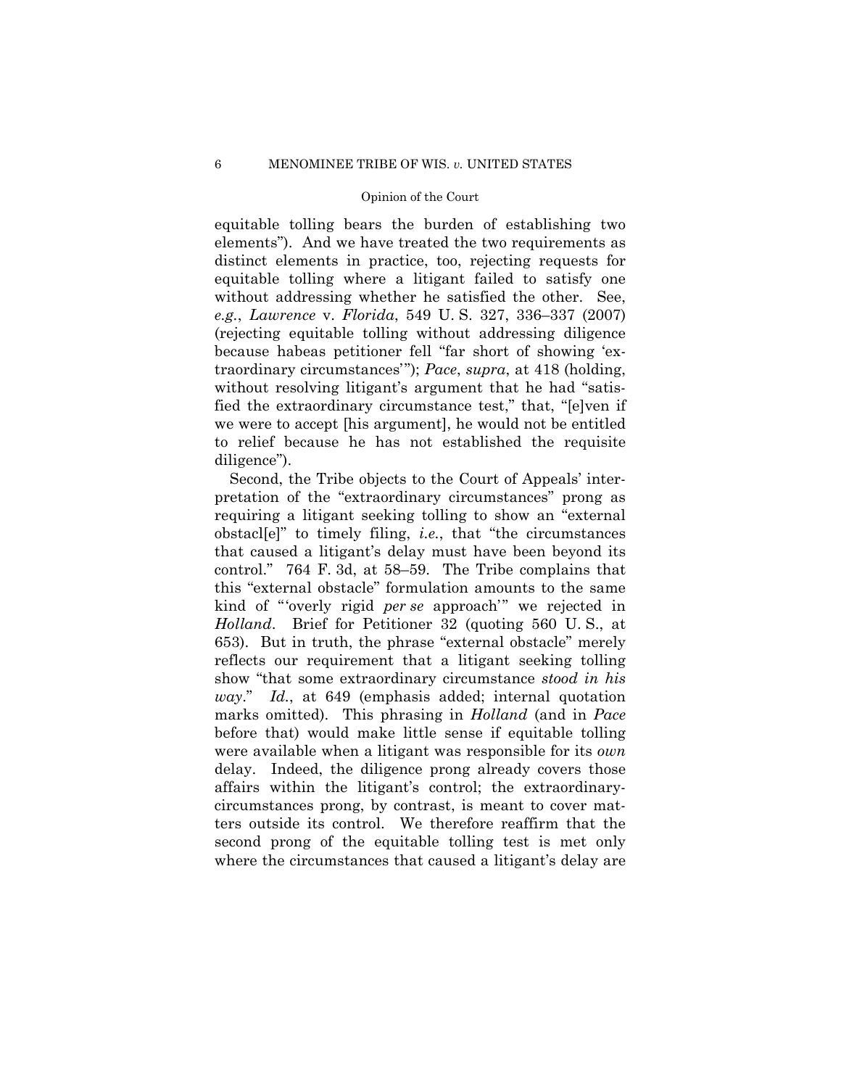equitable tolling bears the burden of establishing two elements"). And we have treated the two requirements as distinct elements in practice, too, rejecting requests for equitable tolling where a litigant failed to satisfy one without addressing whether he satisfied the other. See, *e.g.*, *Lawrence* v. *Florida*, 549 U. S. 327, 336–337 (2007) (rejecting equitable tolling without addressing diligence because habeas petitioner fell "far short of showing 'extraordinary circumstances'"); *Pace*, *supra*, at 418 (holding, without resolving litigant's argument that he had "satisfied the extraordinary circumstance test," that, "[e]ven if we were to accept [his argument], he would not be entitled to relief because he has not established the requisite diligence").

Second, the Tribe objects to the Court of Appeals' interpretation of the "extraordinary circumstances" prong as requiring a litigant seeking tolling to show an "external obstacl[e]" to timely filing, *i.e.*, that "the circumstances that caused a litigant's delay must have been beyond its control." 764 F. 3d, at 58–59. The Tribe complains that this "external obstacle" formulation amounts to the same kind of "'overly rigid *per se* approach'" we rejected in *Holland*. Brief for Petitioner 32 (quoting 560 U. S., at 653). But in truth, the phrase "external obstacle" merely reflects our requirement that a litigant seeking tolling show "that some extraordinary circumstance *stood in his way*." *Id.*, at 649 (emphasis added; internal quotation marks omitted). This phrasing in *Holland* (and in *Pace*  before that) would make little sense if equitable tolling were available when a litigant was responsible for its *own*  delay. Indeed, the diligence prong already covers those affairs within the litigant's control; the extraordinarycircumstances prong, by contrast, is meant to cover matters outside its control. We therefore reaffirm that the second prong of the equitable tolling test is met only where the circumstances that caused a litigant's delay are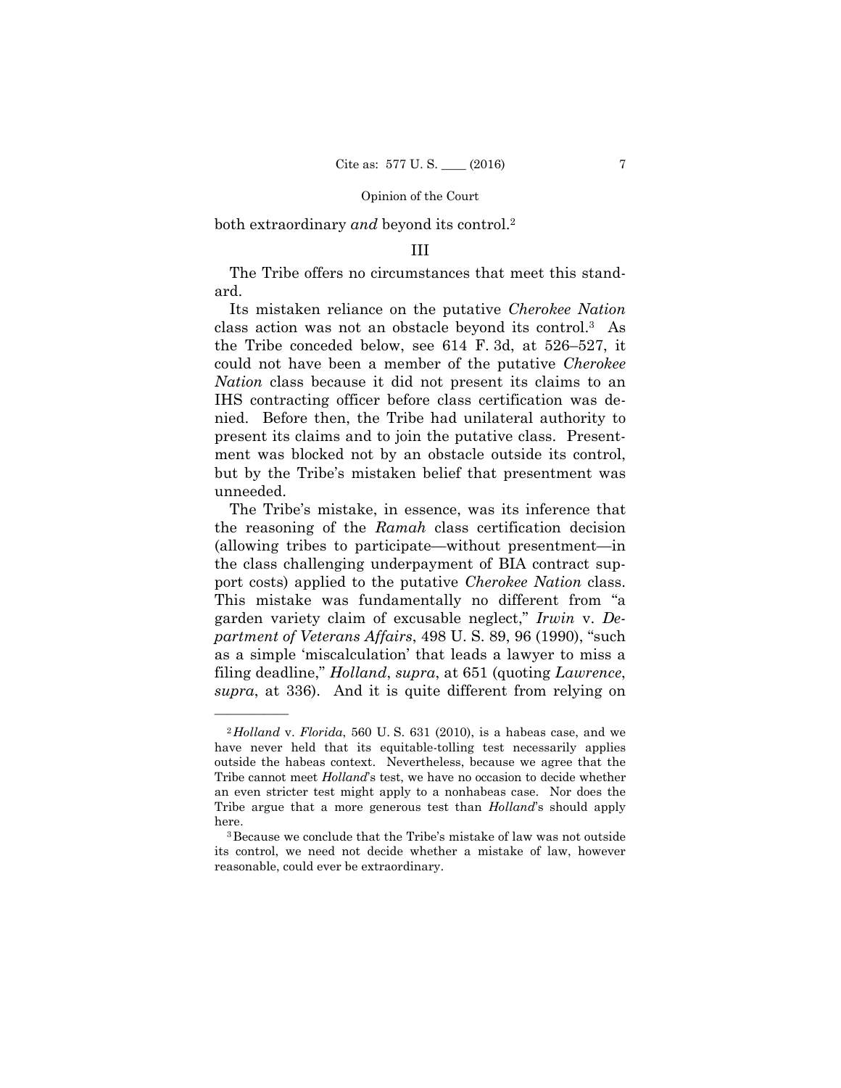both extraordinary *and* beyond its control.2

### III

The Tribe offers no circumstances that meet this standard.

Its mistaken reliance on the putative *Cherokee Nation*  class action was not an obstacle beyond its control.3 As the Tribe conceded below, see 614 F. 3d, at 526–527, it could not have been a member of the putative *Cherokee Nation* class because it did not present its claims to an IHS contracting officer before class certification was denied. Before then, the Tribe had unilateral authority to present its claims and to join the putative class. Presentment was blocked not by an obstacle outside its control, but by the Tribe's mistaken belief that presentment was unneeded.

 as a simple 'miscalculation' that leads a lawyer to miss a The Tribe's mistake, in essence, was its inference that the reasoning of the *Ramah* class certification decision (allowing tribes to participate—without presentment—in the class challenging underpayment of BIA contract support costs) applied to the putative *Cherokee Nation* class. This mistake was fundamentally no different from "a garden variety claim of excusable neglect," *Irwin* v. *Department of Veterans Affairs*, 498 U. S. 89, 96 (1990), "such filing deadline," *Holland*, *supra*, at 651 (quoting *Lawrence*, *supra*, at 336). And it is quite different from relying on

 an even stricter test might apply to a nonhabeas case. Nor does the <sup>2</sup>*Holland* v. *Florida*, 560 U. S. 631 (2010), is a habeas case, and we have never held that its equitable-tolling test necessarily applies outside the habeas context. Nevertheless, because we agree that the Tribe cannot meet *Holland*'s test, we have no occasion to decide whether Tribe argue that a more generous test than *Holland*'s should apply here.<br> $3$ Because we conclude that the Tribe's mistake of law was not outside

its control, we need not decide whether a mistake of law, however reasonable, could ever be extraordinary.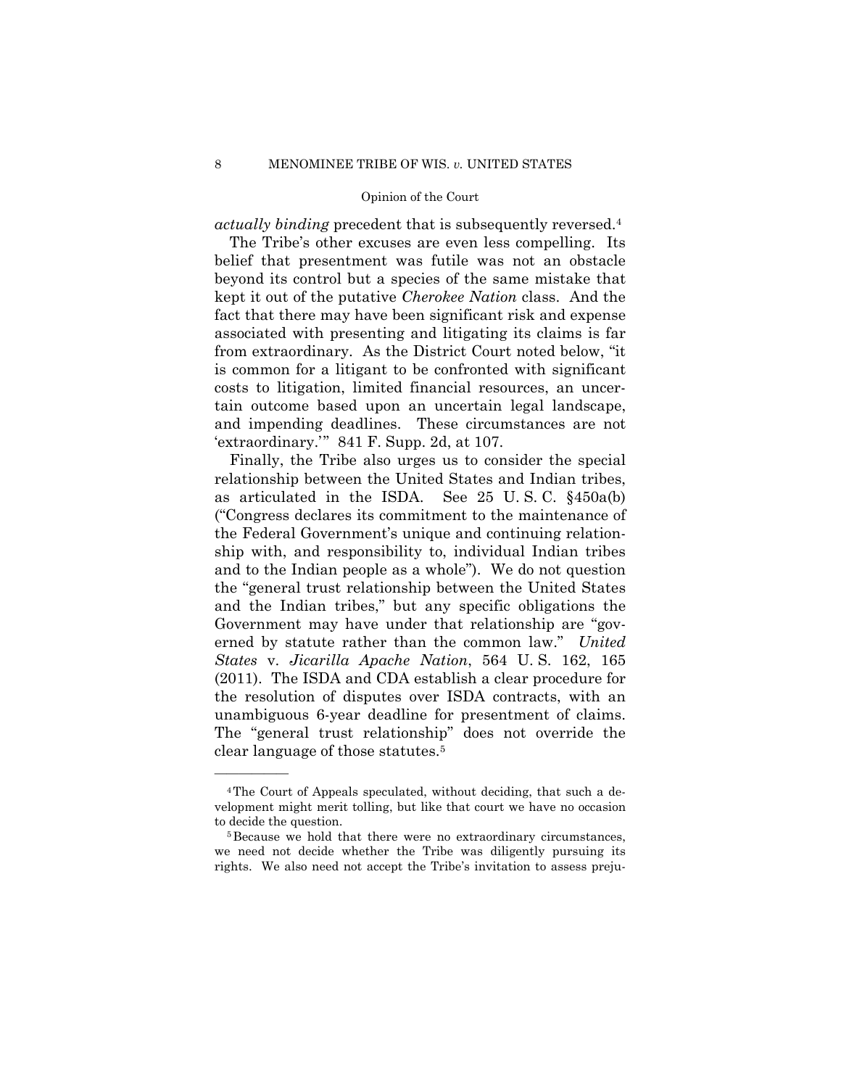*actually binding* precedent that is subsequently reversed.4

The Tribe's other excuses are even less compelling. Its belief that presentment was futile was not an obstacle beyond its control but a species of the same mistake that kept it out of the putative *Cherokee Nation* class. And the fact that there may have been significant risk and expense associated with presenting and litigating its claims is far from extraordinary. As the District Court noted below, "it is common for a litigant to be confronted with significant costs to litigation, limited financial resources, an uncertain outcome based upon an uncertain legal landscape, and impending deadlines. These circumstances are not 'extraordinary.'" 841 F. Supp. 2d, at 107.

 unambiguous 6-year deadline for presentment of claims. Finally, the Tribe also urges us to consider the special relationship between the United States and Indian tribes, as articulated in the ISDA. See 25 U. S. C. §450a(b) ("Congress declares its commitment to the maintenance of the Federal Government's unique and continuing relationship with, and responsibility to, individual Indian tribes and to the Indian people as a whole"). We do not question the "general trust relationship between the United States and the Indian tribes," but any specific obligations the Government may have under that relationship are "governed by statute rather than the common law." *United States* v. *Jicarilla Apache Nation*, 564 U. S. 162, 165 (2011). The ISDA and CDA establish a clear procedure for the resolution of disputes over ISDA contracts, with an The "general trust relationship" does not override the clear language of those statutes.5

<sup>4</sup>The Court of Appeals speculated, without deciding, that such a development might merit tolling, but like that court we have no occasion to decide the question.<br><sup>5</sup>Because we hold that there were no extraordinary circumstances,

we need not decide whether the Tribe was diligently pursuing its rights. We also need not accept the Tribe's invitation to assess preju-